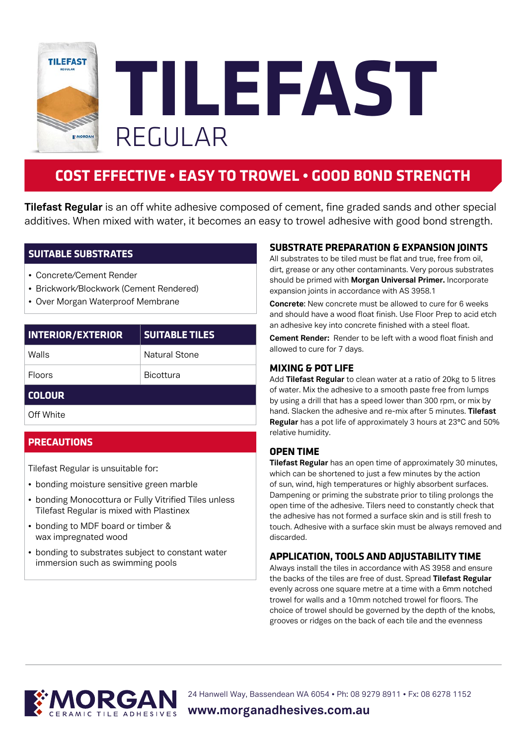

**TILEFAST** REGULAR

# **COST EFFECTIVE • EASY TO TROWEL • GOOD BOND STRENGTH**

**Tilefast Regular** is an off white adhesive composed of cement, fine graded sands and other special additives. When mixed with water, it becomes an easy to trowel adhesive with good bond strength.

# **SUITABLE SUBSTRATES**

- Concrete/Cement Render
- Brickwork/Blockwork (Cement Rendered)
- Over Morgan Waterproof Membrane

| <b>INTERIOR/EXTERIOR</b> | <b>SUITABLE TILES</b> |
|--------------------------|-----------------------|
| Walls                    | <b>Natural Stone</b>  |
| Floors                   | Bicottura             |

# **COLOUR**

Off White

#### **PRECAUTIONS**

Tilefast Regular is unsuitable for:

- bonding moisture sensitive green marble
- bonding Monocottura or Fully Vitrified Tiles unless Tilefast Regular is mixed with Plastinex
- bonding to MDF board or timber & wax impregnated wood
- bonding to substrates subject to constant water immersion such as swimming pools

#### **SUBSTRATE PREPARATION & EXPANSION JOINTS**

All substrates to be tiled must be flat and true, free from oil, dirt, grease or any other contaminants. Very porous substrates should be primed with **Morgan Universal Primer.** Incorporate expansion joints in accordance with AS 3958.1

**Concrete**: New concrete must be allowed to cure for 6 weeks and should have a wood float finish. Use Floor Prep to acid etch an adhesive key into concrete finished with a steel float.

**Cement Render:** Render to be left with a wood float finish and allowed to cure for 7 days.

#### **MIXING & POT LIFE**

Add **Tilefast Regular** to clean water at a ratio of 20kg to 5 litres of water. Mix the adhesive to a smooth paste free from lumps by using a drill that has a speed lower than 300 rpm, or mix by hand. Slacken the adhesive and re-mix after 5 minutes. **Tilefast Regular** has a pot life of approximately 3 hours at 23°C and 50% relative humidity.

#### **OPEN TIME**

**Tilefast Regular** has an open time of approximately 30 minutes, which can be shortened to just a few minutes by the action of sun, wind, high temperatures or highly absorbent surfaces. Dampening or priming the substrate prior to tiling prolongs the open time of the adhesive. Tilers need to constantly check that the adhesive has not formed a surface skin and is still fresh to touch. Adhesive with a surface skin must be always removed and discarded.

#### **APPLICATION, TOOLS AND ADJUSTABILITY TIME**

Always install the tiles in accordance with AS 3958 and ensure the backs of the tiles are free of dust. Spread **Tilefast Regular** evenly across one square metre at a time with a 6mm notched trowel for walls and a 10mm notched trowel for floors. The choice of trowel should be governed by the depth of the knobs, grooves or ridges on the back of each tile and the evenness



24 Hanwell Way, Bassendean WA 6054 • Ph: 08 9279 8911 • Fx: 08 6278 1152

**www.morganadhesives.com.au**